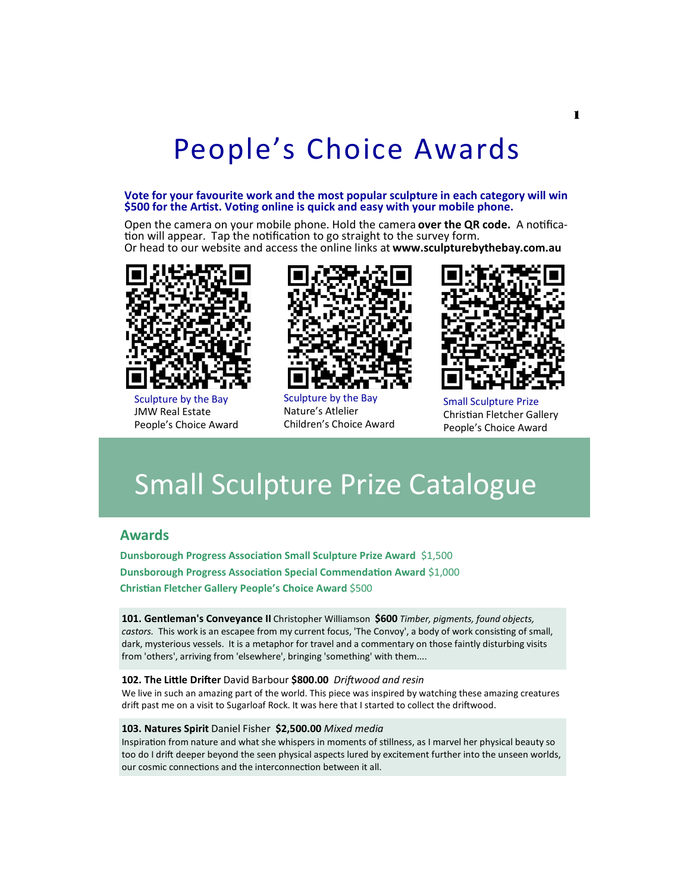# People's Choice Awards

#### **Vote for your favourite work and the most popular sculpture in each category will win \$500 for the Artist. Voting online is quick and easy with your mobile phone.**

Open the camera on your mobile phone. Hold the camera **over the QR code.** A notification will appear. Tap the notification to go straight to the survey form. Or head to our website and access the online links at **www.sculpturebythebay.com.au**



Sculpture by the Bay JMW Real Estate People's Choice Award



Sculpture by the Bay Nature's Atlelier Children's Choice Award



Small Sculpture Prize Christian Fletcher Gallery People's Choice Award

## Small Sculpture Prize Catalogue

### **Awards**

**Dunsborough Progress Association Small Sculpture Prize Award** \$1,500 **Dunsborough Progress Association Special Commendation Award** \$1,000 **Christian Fletcher Gallery People's Choice Award** \$500

**101. Gentleman's Conveyance II** Christopher Williamson **\$600** *Timber, pigments, found objects, castors.* This work is an escapee from my current focus, 'The Convoy', a body of work consisting of small, dark, mysterious vessels. It is a metaphor for travel and a commentary on those faintly disturbing visits from 'others', arriving from 'elsewhere', bringing 'something' with them....

#### **102. The Little Drifter** David Barbour **\$800.00** *Driftwood and resin*

We live in such an amazing part of the world. This piece was inspired by watching these amazing creatures drift past me on a visit to Sugarloaf Rock. It was here that I started to collect the driftwood.

#### **103. Natures Spirit** Daniel Fisher **\$2,500.00** *Mixed media*

Inspiration from nature and what she whispers in moments of stillness, as I marvel her physical beauty so too do I drift deeper beyond the seen physical aspects lured by excitement further into the unseen worlds, our cosmic connections and the interconnection between it all.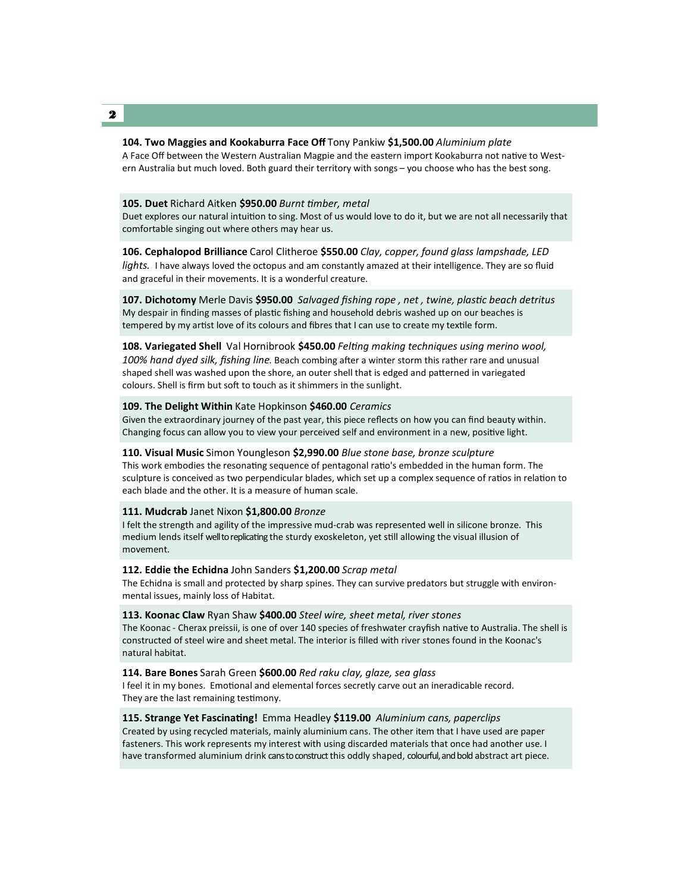#### **104. Two Maggies and Kookaburra Face Off** Tony Pankiw **\$1,500.00** *Aluminium plate*

A Face Off between the Western Australian Magpie and the eastern import Kookaburra not native to Western Australia but much loved. Both guard their territory with songs – you choose who has the best song.

#### **105. Duet** Richard Aitken **\$950.00** *Burnt timber, metal*

Duet explores our natural intuition to sing. Most of us would love to do it, but we are not all necessarily that comfortable singing out where others may hear us.

**106. Cephalopod Brilliance** Carol Clitheroe **\$550.00** *Clay, copper, found glass lampshade, LED lights.* I have always loved the octopus and am constantly amazed at their intelligence. They are so fluid and graceful in their movements. It is a wonderful creature.

**107. Dichotomy** Merle Davis **\$950.00** *Salvaged fishing rope , net , twine, plastic beach detritus* My despair in finding masses of plastic fishing and household debris washed up on our beaches is tempered by my artist love of its colours and fibres that I can use to create my textile form.

**108. Variegated Shell** Val Hornibrook **\$450.00** *Felting making techniques using merino wool, 100% hand dyed silk, fishing line.* Beach combing after a winter storm this rather rare and unusual shaped shell was washed upon the shore, an outer shell that is edged and patterned in variegated colours. Shell is firm but soft to touch as it shimmers in the sunlight.

#### **109. The Delight Within** Kate Hopkinson **\$460.00** *Ceramics*

Given the extraordinary journey of the past year, this piece reflects on how you can find beauty within. Changing focus can allow you to view your perceived self and environment in a new, positive light.

#### **110. Visual Music** Simon Youngleson **\$2,990.00** *Blue stone base, bronze sculpture*

This work embodies the resonating sequence of pentagonal ratio's embedded in the human form. The sculpture is conceived as two perpendicular blades, which set up a complex sequence of ratios in relation to each blade and the other. It is a measure of human scale.

#### **111. Mudcrab** Janet Nixon **\$1,800.00** *Bronze*

I felt the strength and agility of the impressive mud-crab was represented well in silicone bronze. This medium lends itself well to replicating the sturdy exoskeleton, yet still allowing the visual illusion of movement.

#### **112. Eddie the Echidna** John Sanders **\$1,200.00** *Scrap metal*

The Echidna is small and protected by sharp spines. They can survive predators but struggle with environmental issues, mainly loss of Habitat.

#### **113. Koonac Claw** Ryan Shaw **\$400.00** *Steel wire, sheet metal, river stones*

The Koonac - Cherax preissii, is one of over 140 species of freshwater crayfish native to Australia. The shell is constructed of steel wire and sheet metal. The interior is filled with river stones found in the Koonac's natural habitat.

### **114. Bare Bones** Sarah Green **\$600.00** *Red raku clay, glaze, sea glass*

I feel it in my bones. Emotional and elemental forces secretly carve out an ineradicable record. They are the last remaining testimony.

#### **115. Strange Yet Fascinating!** Emma Headley **\$119.00** *Aluminium cans, paperclips*

Created by using recycled materials, mainly aluminium cans. The other item that I have used are paper fasteners. This work represents my interest with using discarded materials that once had another use. I have transformed aluminium drink cansto construct this oddly shaped, colourful, and bold abstract art piece.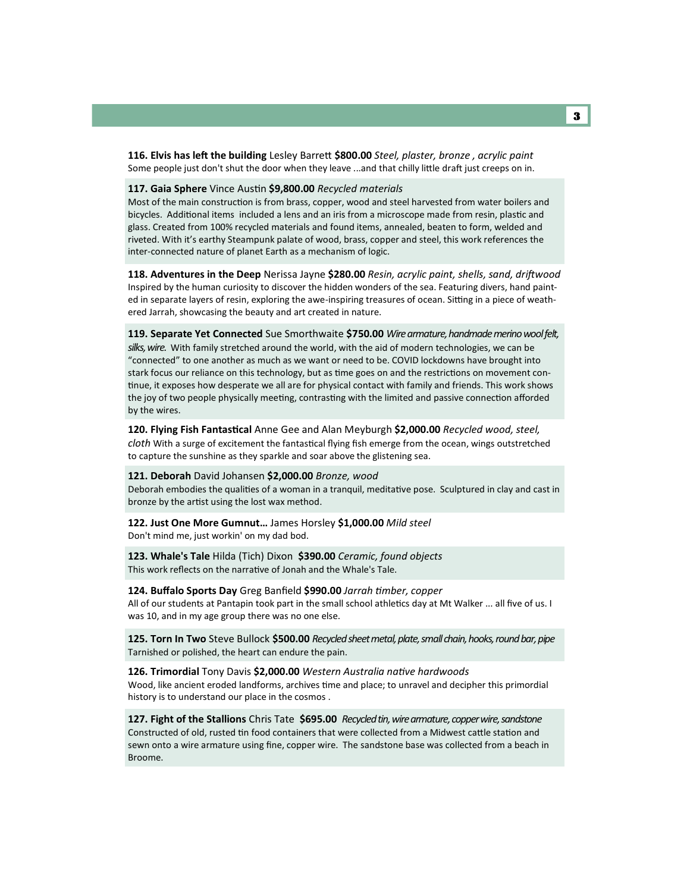**116. Elvis has left the building** Lesley Barrett **\$800.00** *Steel, plaster, bronze , acrylic paint* Some people just don't shut the door when they leave ...and that chilly little draft just creeps on in.

#### **117. Gaia Sphere** Vince Austin **\$9,800.00** *Recycled materials*

Most of the main construction is from brass, copper, wood and steel harvested from water boilers and bicycles. Additional items included a lens and an iris from a microscope made from resin, plastic and glass. Created from 100% recycled materials and found items, annealed, beaten to form, welded and riveted. With it's earthy Steampunk palate of wood, brass, copper and steel, this work references the inter-connected nature of planet Earth as a mechanism of logic.

**118. Adventures in the Deep** Nerissa Jayne **\$280.00** *Resin, acrylic paint, shells, sand, driftwood*  Inspired by the human curiosity to discover the hidden wonders of the sea. Featuring divers, hand painted in separate layers of resin, exploring the awe-inspiring treasures of ocean. Sitting in a piece of weathered Jarrah, showcasing the beauty and art created in nature.

**119. Separate Yet Connected** Sue Smorthwaite **\$750.00** *Wire armature, handmade merino wool felt, silks, wire.* With family stretched around the world, with the aid of modern technologies, we can be "connected" to one another as much as we want or need to be. COVID lockdowns have brought into stark focus our reliance on this technology, but as time goes on and the restrictions on movement continue, it exposes how desperate we all are for physical contact with family and friends. This work shows the joy of two people physically meeting, contrasting with the limited and passive connection afforded by the wires.

**120. Flying Fish Fantastical** Anne Gee and Alan Meyburgh **\$2,000.00** *Recycled wood, steel, cloth* With a surge of excitement the fantastical flying fish emerge from the ocean, wings outstretched to capture the sunshine as they sparkle and soar above the glistening sea.

#### **121. Deborah** David Johansen **\$2,000.00** *Bronze, wood*

Deborah embodies the qualities of a woman in a tranquil, meditative pose. Sculptured in clay and cast in bronze by the artist using the lost wax method.

#### **122. Just One More Gumnut…** James Horsley **\$1,000.00** *Mild steel* Don't mind me, just workin' on my dad bod.

**123. Whale's Tale** Hilda (Tich) Dixon **\$390.00** *Ceramic, found objects* This work reflects on the narrative of Jonah and the Whale's Tale.

#### **124. Buffalo Sports Day** Greg Banfield **\$990.00** *Jarrah timber, copper*

All of our students at Pantapin took part in the small school athletics day at Mt Walker ... all five of us. I was 10, and in my age group there was no one else.

**125. Torn In Two** Steve Bullock **\$500.00** *Recycled sheet metal, plate, small chain, hooks, round bar, pipe* Tarnished or polished, the heart can endure the pain.

#### **126. Trimordial** Tony Davis **\$2,000.00** *Western Australia native hardwoods*

Wood, like ancient eroded landforms, archives time and place; to unravel and decipher this primordial history is to understand our place in the cosmos .

**127. Fight of the Stallions** Chris Tate **\$695.00** *Recycled tin, wire armature, copper wire, sandstone*  Constructed of old, rusted tin food containers that were collected from a Midwest cattle station and sewn onto a wire armature using fine, copper wire. The sandstone base was collected from a beach in Broome.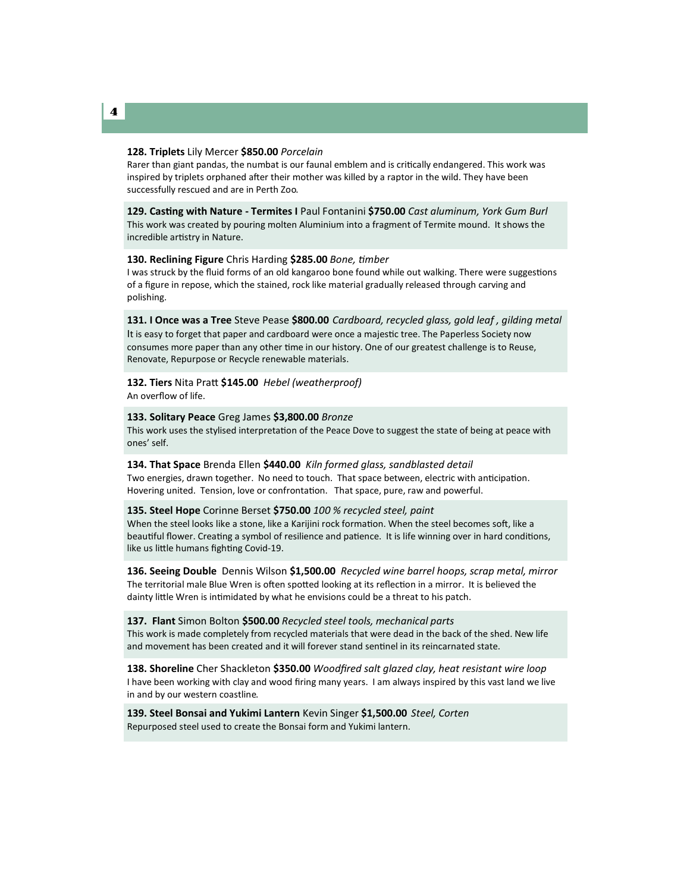#### **128. Triplets** Lily Mercer **\$850.00** *Porcelain*

Rarer than giant pandas, the numbat is our faunal emblem and is critically endangered. This work was inspired by triplets orphaned after their mother was killed by a raptor in the wild. They have been successfully rescued and are in Perth Zoo.

**129. Casting with Nature - Termites I** Paul Fontanini **\$750.00** *Cast aluminum, York Gum Burl* This work was created by pouring molten Aluminium into a fragment of Termite mound. It shows the incredible artistry in Nature.

#### **130. Reclining Figure** Chris Harding **\$285.00** *Bone, timber*

I was struck by the fluid forms of an old kangaroo bone found while out walking. There were suggestions of a figure in repose, which the stained, rock like material gradually released through carving and polishing.

**131. I Once was a Tree** Steve Pease **\$800.00** *Cardboard, recycled glass, gold leaf , gilding metal*  It is easy to forget that paper and cardboard were once a majestic tree. The Paperless Society now consumes more paper than any other time in our history. One of our greatest challenge is to Reuse, Renovate, Repurpose or Recycle renewable materials.

#### **132. Tiers** Nita Pratt **\$145.00** *Hebel (weatherproof)* An overflow of life.

**133. Solitary Peace** Greg James **\$3,800.00** *Bronze* This work uses the stylised interpretation of the Peace Dove to suggest the state of being at peace with ones' self.

**134. That Space** Brenda Ellen **\$440.00** *Kiln formed glass, sandblasted detail* Two energies, drawn together. No need to touch. That space between, electric with anticipation. Hovering united. Tension, love or confrontation. That space, pure, raw and powerful.

#### **135. Steel Hope** Corinne Berset **\$750.00** *100 % recycled steel, paint*

When the steel looks like a stone, like a Karijini rock formation. When the steel becomes soft, like a beautiful flower. Creating a symbol of resilience and patience. It is life winning over in hard conditions, like us little humans fighting Covid-19.

**136. Seeing Double** Dennis Wilson **\$1,500.00** *Recycled wine barrel hoops, scrap metal, mirror*  The territorial male Blue Wren is often spotted looking at its reflection in a mirror. It is believed the dainty little Wren is intimidated by what he envisions could be a threat to his patch.

**137. Flant** Simon Bolton **\$500.00** *Recycled steel tools, mechanical parts* This work is made completely from recycled materials that were dead in the back of the shed. New life and movement has been created and it will forever stand sentinel in its reincarnated state.

**138. Shoreline** Cher Shackleton **\$350.00** *Woodfired salt glazed clay, heat resistant wire loop* I have been working with clay and wood firing many years. I am always inspired by this vast land we live in and by our western coastline.

**139. Steel Bonsai and Yukimi Lantern** Kevin Singer **\$1,500.00** *Steel, Corten* Repurposed steel used to create the Bonsai form and Yukimi lantern.

#### 4